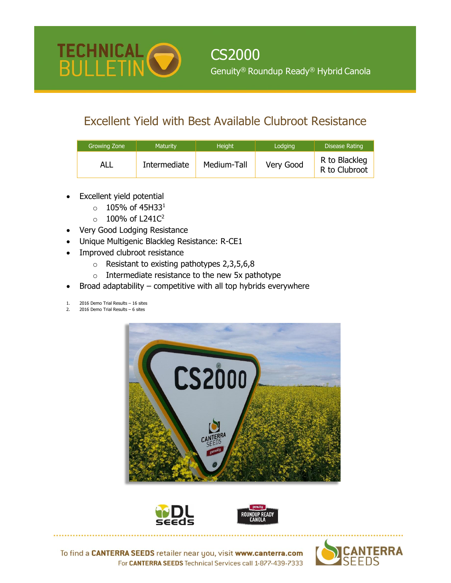

## Excellent Yield with Best Available Clubroot Resistance

| Growing Zone | <b>Maturity</b> | Height      | Lodging   | <b>Disease Rating</b>          |
|--------------|-----------------|-------------|-----------|--------------------------------|
| ALL          | Intermediate    | Medium-Tall | Very Good | R to Blackleg<br>R to Clubroot |

Excellent yield potential

TECHNICAL O

- $0 105\%$  of 45H33<sup>1</sup>
- $\circ$  100% of L241C<sup>2</sup>
- Very Good Lodging Resistance
- Unique Multigenic Blackleg Resistance: R-CE1
- Improved clubroot resistance
	- $\circ$  Resistant to existing pathotypes 2,3,5,6,8
	- $\circ$  Intermediate resistance to the new 5x pathotype
- Broad adaptability  $-$  competitive with all top hybrids everywhere
- 1. 2016 Demo Trial Results 16 sites
- 2016 Demo Trial Results 6 sites







To find a CANTERRA SEEDS retailer near you, visit www.canterra.com For CANTERRA SEEDS Technical Services call 1-877-439-7333